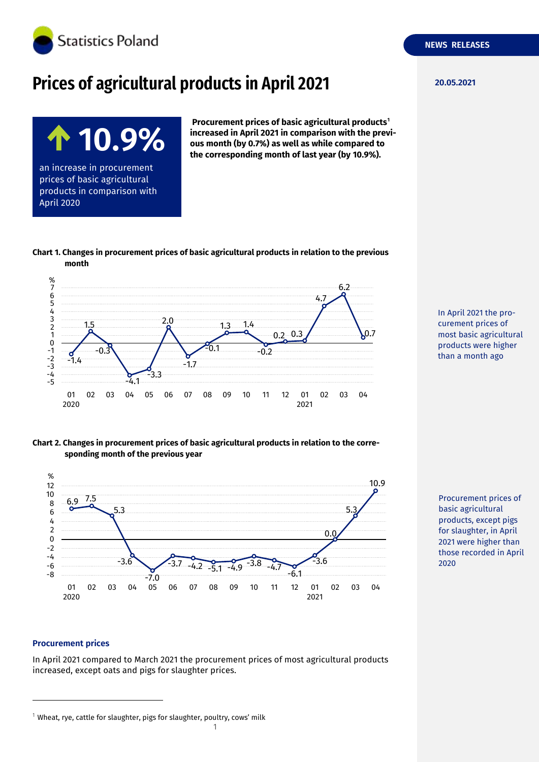

# **Prices of agricultural products in April 2021**

**Procurement prices of basic agricultural products<sup>1</sup> increased in April 2021 in comparison with the previous month (by 0.7%) as well as while compared to the corresponding month of last year (by 10.9%).**

**10.9%** an increase in procurement prices of basic agricultural products in comparison with April 2020

**month**



**Chart 1. Changes in procurement prices of basic agricultural products in relation to the previous** 

In April 2021 the procurement prices of most basic agricultural products were higher than a month ago

Procurement prices of basic agricultural products, except pigs for slaughter, in April 2021 were higher than those recorded in April

2020

## **Chart 2. Changes in procurement prices of basic agricultural products in relation to the corresponding month of the previous year**



#### **Procurement prices**

-

In April 2021 compared to March 2021 the procurement prices of most agricultural products increased, except oats and pigs for slaughter prices.



 $1$  Wheat, rye, cattle for slaughter, pigs for slaughter, poultry, cows' milk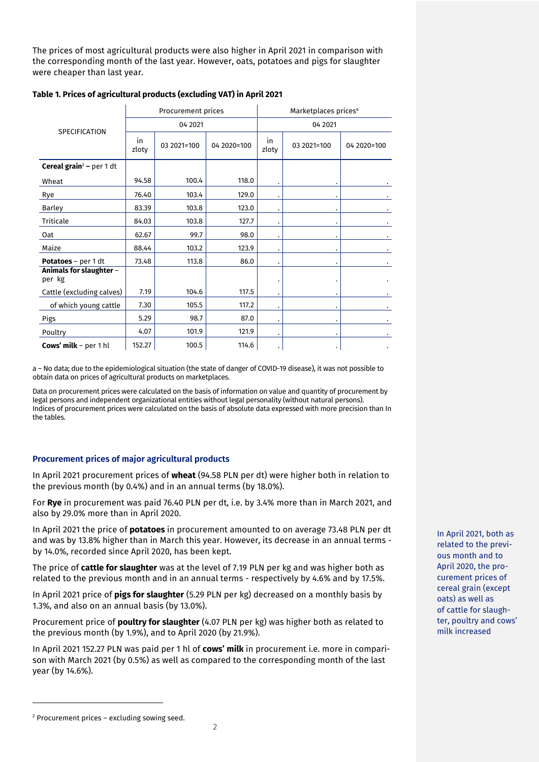The prices of most agricultural products were also higher in April 2021 in comparison with the corresponding month of the last year. However, oats, potatoes and pigs for slaughter were cheaper than last year.

| <b>SPECIFICATION</b>                       | Procurement prices |             |             | Marketplaces prices <sup>a</sup> |             |             |
|--------------------------------------------|--------------------|-------------|-------------|----------------------------------|-------------|-------------|
|                                            | 04 2021            |             |             | 04 2021                          |             |             |
|                                            | in<br>zloty        | 03 2021=100 | 04 2020=100 | in<br>zloty                      | 03 2021=100 | 04 2020=100 |
| <b>Cereal grain<sup>2</sup></b> - per 1 dt |                    |             |             |                                  |             |             |
| Wheat                                      | 94.58              | 100.4       | 118.0       |                                  |             |             |
| Rye                                        | 76.40              | 103.4       | 129.0       |                                  |             |             |
| <b>Barley</b>                              | 83.39              | 103.8       | 123.0       | $\cdot$                          |             |             |
| Triticale                                  | 84.03              | 103.8       | 127.7       | ٠                                |             |             |
| Oat                                        | 62.67              | 99.7        | 98.0        | $\bullet$                        |             |             |
| Maize                                      | 88.44              | 103.2       | 123.9       | $\cdot$                          |             |             |
| <b>Potatoes</b> – per 1 dt                 | 73.48              | 113.8       | 86.0        | $\bullet$                        |             |             |
| Animals for slaughter -<br>per kg          |                    |             |             |                                  |             |             |
| Cattle (excluding calves)                  | 7.19               | 104.6       | 117.5       | ٠                                |             |             |
| of which young cattle                      | 7.30               | 105.5       | 117.2       | ٠                                |             |             |
| Pigs                                       | 5.29               | 98.7        | 87.0        | $\cdot$                          |             |             |
| Poultry                                    | 4.07               | 101.9       | 121.9       | $\cdot$                          |             |             |
| <b>Cows' milk</b> – per 1 hl               | 152.27             | 100.5       | 114.6       | ٠                                |             |             |

### **Table 1. Prices of agricultural products (excluding VAT) in April 2021**

a – No data; due to the epidemiological situation (the state of danger of COVID-19 disease), it was not possible to obtain data on prices of agricultural products on marketplaces.

Data on procurement prices were calculated on the basis of information on value and quantity of procurement by legal persons and independent organizational entities without legal personality (without natural persons). Indices of procurement prices were calculated on the basis of absolute data expressed with more precision than In the tables.

## **Procurement prices of major agricultural products**

In April 2021 procurement prices of **wheat** (94.58 PLN per dt) were higher both in relation to the previous month (by 0.4%) and in an annual terms (by 18.0%).

For **Rye** in procurement was paid 76.40 PLN per dt, i.e. by 3.4% more than in March 2021, and also by 29.0% more than in April 2020.

In April 2021 the price of **potatoes** in procurement amounted to on average 73.48 PLN per dt and was by 13.8% higher than in March this year. However, its decrease in an annual terms by 14.0%, recorded since April 2020, has been kept.

The price of **cattle for slaughter** was at the level of 7.19 PLN per kg and was higher both as related to the previous month and in an annual terms - respectively by 4.6% and by 17.5%.

In April 2021 price of **pigs for slaughter** (5.29 PLN per kg) decreased on a monthly basis by 1.3%, and also on an annual basis (by 13.0%).

Procurement price of **poultry for slaughter** (4.07 PLN per kg) was higher both as related to the previous month (by 1.9%), and to April 2020 (by 21.9%).

In April 2021 152.27 PLN was paid per 1 hl of **cows' milk** in procurement i.e. more in comparison with March 2021 (by 0.5%) as well as compared to the corresponding month of the last year (by 14.6%).

In April 2021, both as related to the previous month and to April 2020, the procurement prices of cereal grain (except oats) as well as of cattle for slaughter, poultry and cows' milk increased

-

<sup>2</sup> Procurement prices – excluding sowing seed.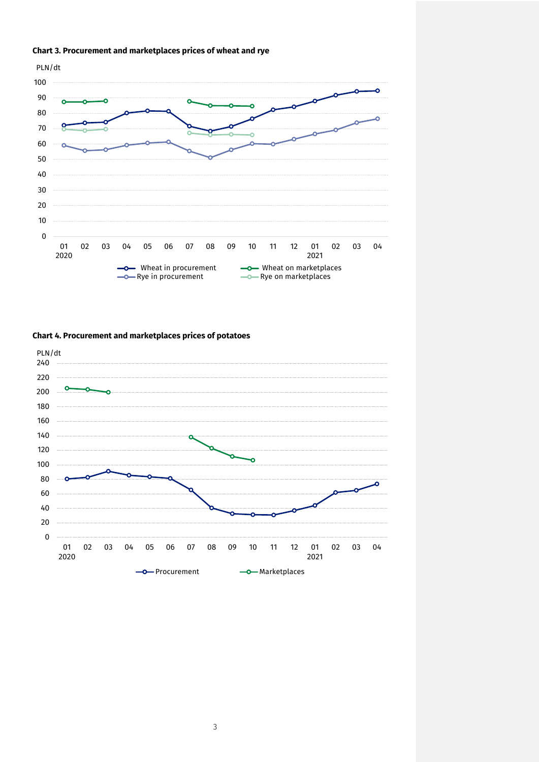



# **Chart 4. Procurement and marketplaces prices of potatoes**

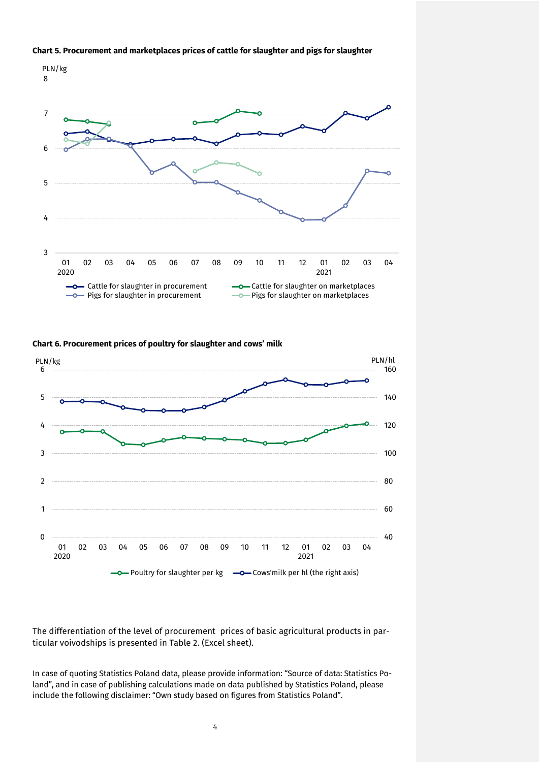

#### **Chart 5. Procurement and marketplaces prices of cattle for slaughter and pigs for slaughter**





The differentiation of the level of procurement prices of basic agricultural products in particular voivodships is presented in Table 2. (Excel sheet).

In case of quoting Statistics Poland data, please provide information: "Source of data: Statistics Poland", and in case of publishing calculations made on data published by Statistics Poland, please include the following disclaimer: "Own study based on figures from Statistics Poland".